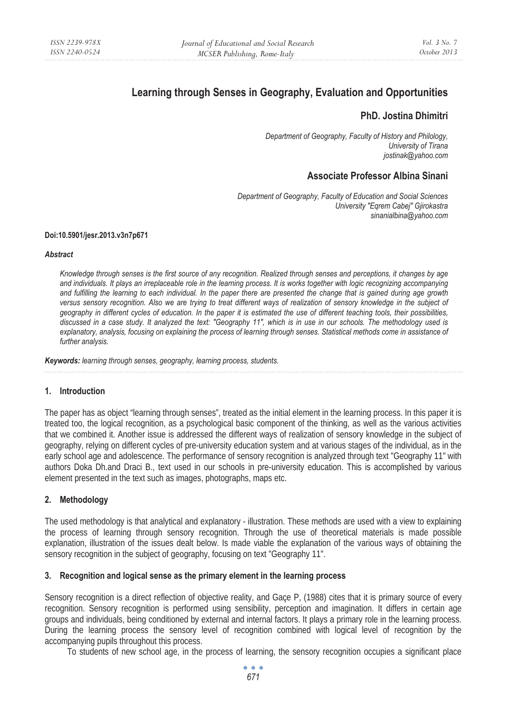# **Learning through Senses in Geography, Evaluation and Opportunities**

## **PhD. Jostina Dhimitri**

*Department of Geography, Faculty of History and Philology, University of Tirana jostinak@yahoo.com* 

# **Associate Professor Albina Sinani**

*Department of Geography, Faculty of Education and Social Sciences University "Eqrem Cabej" Gjirokastra sinanialbina@yahoo.com* 

#### **Doi:10.5901/jesr.2013.v3n7p671**

#### *Abstract*

*Knowledge through senses is the first source of any recognition. Realized through senses and perceptions, it changes by age*  and individuals. It plays an irreplaceable role in the learning process. It is works together with logic recognizing accompanying *and fulfilling the learning to each individual. In the paper there are presented the change that is gained during age growth versus sensory recognition. Also we are trying to treat different ways of realization of sensory knowledge in the subject of geography in different cycles of education. In the paper it is estimated the use of different teaching tools, their possibilities, discussed in a case study. It analyzed the text: "Geography 11", which is in use in our schools. The methodology used is explanatory, analysis, focusing on explaining the process of learning through senses. Statistical methods come in assistance of further analysis.* 

*Keywords: learning through senses, geography, learning process, students.* 

### **1. Introduction**

The paper has as object "learning through senses", treated as the initial element in the learning process. In this paper it is treated too, the logical recognition, as a psychological basic component of the thinking, as well as the various activities that we combined it. Another issue is addressed the different ways of realization of sensory knowledge in the subject of geography, relying on different cycles of pre-university education system and at various stages of the individual, as in the early school age and adolescence. The performance of sensory recognition is analyzed through text "Geography 11" with authors Doka Dh.and Draci B., text used in our schools in pre-university education. This is accomplished by various element presented in the text such as images, photographs, maps etc.

### **2. Methodology**

The used methodology is that analytical and explanatory - illustration. These methods are used with a view to explaining the process of learning through sensory recognition. Through the use of theoretical materials is made possible explanation, illustration of the issues dealt below. Is made viable the explanation of the various ways of obtaining the sensory recognition in the subject of geography, focusing on text "Geography 11".

#### **3. Recognition and logical sense as the primary element in the learning process**

Sensory recognition is a direct reflection of objective reality, and Gaçe P, (1988) cites that it is primary source of every recognition. Sensory recognition is performed using sensibility, perception and imagination. It differs in certain age groups and individuals, being conditioned by external and internal factors. It plays a primary role in the learning process. During the learning process the sensory level of recognition combined with logical level of recognition by the accompanying pupils throughout this process.

To students of new school age, in the process of learning, the sensory recognition occupies a significant place

 $\bullet$   $\bullet$   $\bullet$ *671*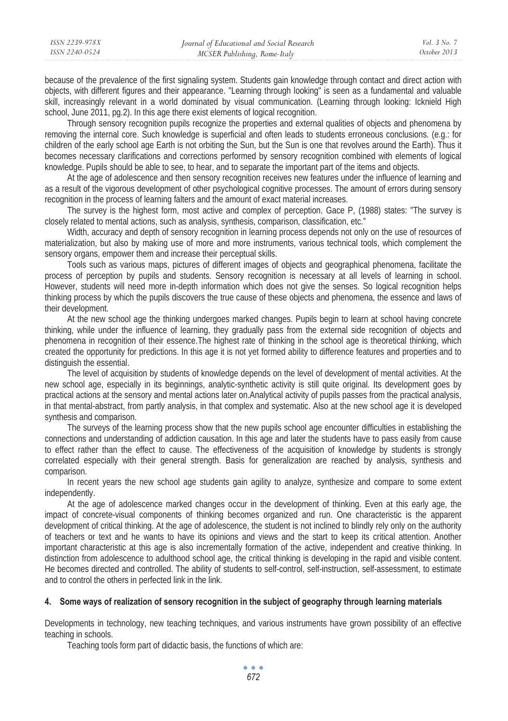| ISSN 2239-978X | Journal of Educational and Social Research | Vol. 3 No. 7 |
|----------------|--------------------------------------------|--------------|
| ISSN 2240-0524 | MCSER Publishing, Rome-Italy               | October 2013 |

because of the prevalence of the first signaling system. Students gain knowledge through contact and direct action with objects, with different figures and their appearance. "Learning through looking" is seen as a fundamental and valuable skill, increasingly relevant in a world dominated by visual communication. (Learning through looking: Icknield High school, June 2011, pg.2). In this age there exist elements of logical recognition.

Through sensory recognition pupils recognize the properties and external qualities of objects and phenomena by removing the internal core. Such knowledge is superficial and often leads to students erroneous conclusions. (e.g.: for children of the early school age Earth is not orbiting the Sun, but the Sun is one that revolves around the Earth). Thus it becomes necessary clarifications and corrections performed by sensory recognition combined with elements of logical knowledge. Pupils should be able to see, to hear, and to separate the important part of the items and objects.

At the age of adolescence and then sensory recognition receives new features under the influence of learning and as a result of the vigorous development of other psychological cognitive processes. The amount of errors during sensory recognition in the process of learning falters and the amount of exact material increases.

The survey is the highest form, most active and complex of perception. Gace P, (1988) states: "The survey is closely related to mental actions, such as analysis, synthesis, comparison, classification, etc."

Width, accuracy and depth of sensory recognition in learning process depends not only on the use of resources of materialization, but also by making use of more and more instruments, various technical tools, which complement the sensory organs, empower them and increase their perceptual skills.

Tools such as various maps, pictures of different images of objects and geographical phenomena, facilitate the process of perception by pupils and students. Sensory recognition is necessary at all levels of learning in school. However, students will need more in-depth information which does not give the senses. So logical recognition helps thinking process by which the pupils discovers the true cause of these objects and phenomena, the essence and laws of their development.

At the new school age the thinking undergoes marked changes. Pupils begin to learn at school having concrete thinking, while under the influence of learning, they gradually pass from the external side recognition of objects and phenomena in recognition of their essence.The highest rate of thinking in the school age is theoretical thinking, which created the opportunity for predictions. In this age it is not yet formed ability to difference features and properties and to distinguish the essential.

The level of acquisition by students of knowledge depends on the level of development of mental activities. At the new school age, especially in its beginnings, analytic-synthetic activity is still quite original. Its development goes by practical actions at the sensory and mental actions later on.Analytical activity of pupils passes from the practical analysis, in that mental-abstract, from partly analysis, in that complex and systematic. Also at the new school age it is developed synthesis and comparison.

The surveys of the learning process show that the new pupils school age encounter difficulties in establishing the connections and understanding of addiction causation. In this age and later the students have to pass easily from cause to effect rather than the effect to cause. The effectiveness of the acquisition of knowledge by students is strongly correlated especially with their general strength. Basis for generalization are reached by analysis, synthesis and comparison.

In recent years the new school age students gain agility to analyze, synthesize and compare to some extent independently.

At the age of adolescence marked changes occur in the development of thinking. Even at this early age, the impact of concrete-visual components of thinking becomes organized and run. One characteristic is the apparent development of critical thinking. At the age of adolescence, the student is not inclined to blindly rely only on the authority of teachers or text and he wants to have its opinions and views and the start to keep its critical attention. Another important characteristic at this age is also incrementally formation of the active, independent and creative thinking. In distinction from adolescence to adulthood school age, the critical thinking is developing in the rapid and visible content. He becomes directed and controlled. The ability of students to self-control, self-instruction, self-assessment, to estimate and to control the others in perfected link in the link.

### **4. Some ways of realization of sensory recognition in the subject of geography through learning materials**

Developments in technology, new teaching techniques, and various instruments have grown possibility of an effective teaching in schools.

Teaching tools form part of didactic basis, the functions of which are: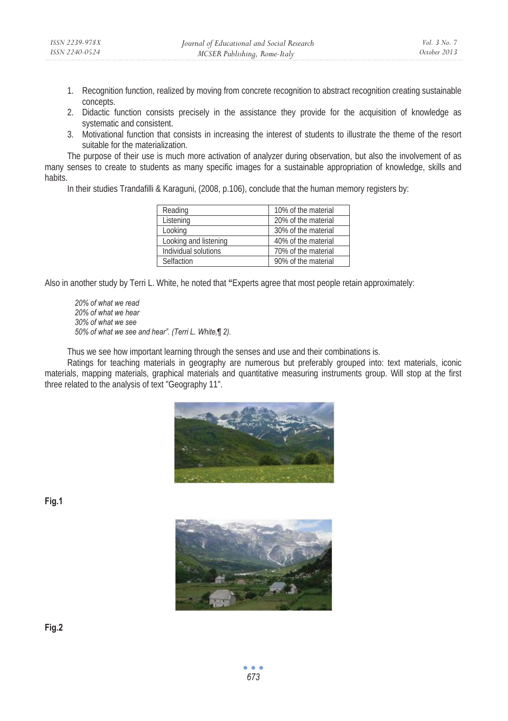- 1. Recognition function, realized by moving from concrete recognition to abstract recognition creating sustainable concepts.
- 2. Didactic function consists precisely in the assistance they provide for the acquisition of knowledge as systematic and consistent.
- 3. Motivational function that consists in increasing the interest of students to illustrate the theme of the resort suitable for the materialization.

The purpose of their use is much more activation of analyzer during observation, but also the involvement of as many senses to create to students as many specific images for a sustainable appropriation of knowledge, skills and habits.

In their studies Trandafilli & Karaguni, (2008, p.106), conclude that the human memory registers by:

| Reading               | 10% of the material |
|-----------------------|---------------------|
| Listening             | 20% of the material |
| Looking               | 30% of the material |
| Looking and listening | 40% of the material |
| Individual solutions  | 70% of the material |
| Selfaction            | 90% of the material |

Also in another study by Terri L. White, he noted that **"**Experts agree that most people retain approximately:

*20% of what we read 20% of what we hear 30% of what we see 50% of what we see and hear". (Terri L. White,¶ 2).* 

Thus we see how important learning through the senses and use and their combinations is.

Ratings for teaching materials in geography are numerous but preferably grouped into: text materials, iconic materials, mapping materials, graphical materials and quantitative measuring instruments group. Will stop at the first three related to the analysis of text "Geography 11".



**Fig.1** 



**Fig.2**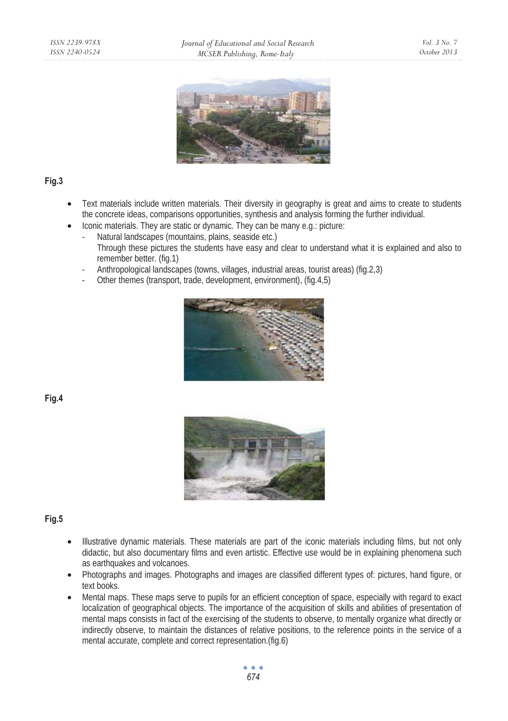

# **Fig.3**

- Text materials include written materials. Their diversity in geography is great and aims to create to students the concrete ideas, comparisons opportunities, synthesis and analysis forming the further individual.
	- Iconic materials. They are static or dynamic. They can be many e.g.: picture: Natural landscapes (mountains, plains, seaside etc.) Through these pictures the students have easy and clear to understand what it is explained and also to remember better. (fig.1)
	- Anthropological landscapes (towns, villages, industrial areas, tourist areas) (fig.2,3)
	- Other themes (transport, trade, development, environment), (fig.4,5)



**Fig.4** 



# **Fig.5**

- Illustrative dynamic materials. These materials are part of the iconic materials including films, but not only didactic, but also documentary films and even artistic. Effective use would be in explaining phenomena such as earthquakes and volcanoes.
- Photographs and images. Photographs and images are classified different types of: pictures, hand figure, or text books.
- Mental maps. These maps serve to pupils for an efficient conception of space, especially with regard to exact localization of geographical objects. The importance of the acquisition of skills and abilities of presentation of mental maps consists in fact of the exercising of the students to observe, to mentally organize what directly or indirectly observe, to maintain the distances of relative positions, to the reference points in the service of a mental accurate, complete and correct representation.(fig.6)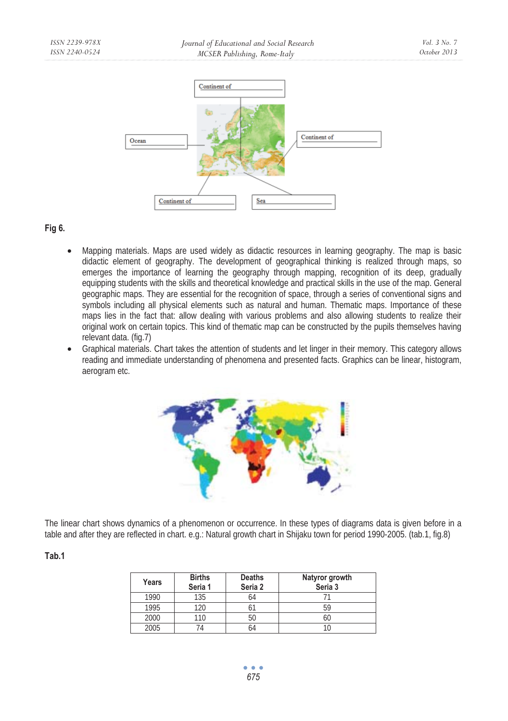

**Fig 6.** 

- Mapping materials. Maps are used widely as didactic resources in learning geography. The map is basic didactic element of geography. The development of geographical thinking is realized through maps, so emerges the importance of learning the geography through mapping, recognition of its deep, gradually equipping students with the skills and theoretical knowledge and practical skills in the use of the map. General geographic maps. They are essential for the recognition of space, through a series of conventional signs and symbols including all physical elements such as natural and human. Thematic maps. Importance of these maps lies in the fact that: allow dealing with various problems and also allowing students to realize their original work on certain topics. This kind of thematic map can be constructed by the pupils themselves having relevant data. (fig.7)
- Graphical materials. Chart takes the attention of students and let linger in their memory. This category allows reading and immediate understanding of phenomena and presented facts. Graphics can be linear, histogram, aerogram etc.



The linear chart shows dynamics of a phenomenon or occurrence. In these types of diagrams data is given before in a table and after they are reflected in chart. e.g.: Natural growth chart in Shijaku town for period 1990-2005. (tab.1, fig.8)

### **Tab.1**

| Years | <b>Births</b><br>Seria 1 | <b>Deaths</b><br>Seria 2 | Natyror growth<br>Seria 3 |
|-------|--------------------------|--------------------------|---------------------------|
| 1990  | 135                      |                          |                           |
| 1995  | 120                      |                          | цÓ                        |
| 2000  | 110                      | 50                       |                           |
| 2005  |                          |                          |                           |

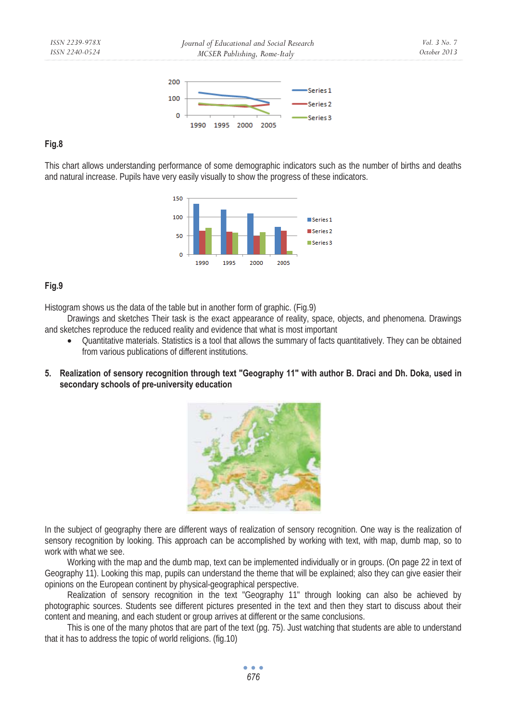

## **Fig.8**

This chart allows understanding performance of some demographic indicators such as the number of births and deaths and natural increase. Pupils have very easily visually to show the progress of these indicators.



# **Fig.9**

Histogram shows us the data of the table but in another form of graphic. (Fig.9)

Drawings and sketches Their task is the exact appearance of reality, space, objects, and phenomena. Drawings and sketches reproduce the reduced reality and evidence that what is most important

- Quantitative materials. Statistics is a tool that allows the summary of facts quantitatively. They can be obtained from various publications of different institutions.
- **5. Realization of sensory recognition through text "Geography 11" with author B. Draci and Dh. Doka, used in secondary schools of pre-university education**



In the subject of geography there are different ways of realization of sensory recognition. One way is the realization of sensory recognition by looking. This approach can be accomplished by working with text, with map, dumb map, so to work with what we see.

Working with the map and the dumb map, text can be implemented individually or in groups. (On page 22 in text of Geography 11). Looking this map, pupils can understand the theme that will be explained; also they can give easier their opinions on the European continent by physical-geographical perspective.

Realization of sensory recognition in the text "Geography 11" through looking can also be achieved by photographic sources. Students see different pictures presented in the text and then they start to discuss about their content and meaning, and each student or group arrives at different or the same conclusions.

This is one of the many photos that are part of the text (pg. 75). Just watching that students are able to understand that it has to address the topic of world religions. (fig.10)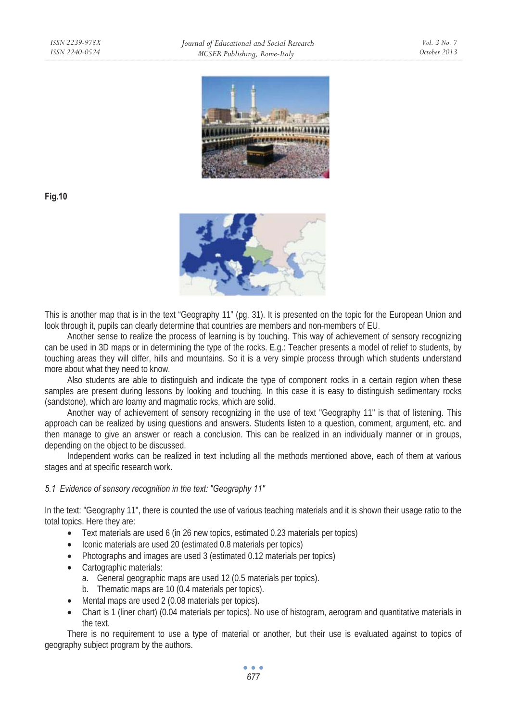

**Fig.10** 



This is another map that is in the text "Geography 11" (pg. 31). It is presented on the topic for the European Union and look through it, pupils can clearly determine that countries are members and non-members of EU.

Another sense to realize the process of learning is by touching. This way of achievement of sensory recognizing can be used in 3D maps or in determining the type of the rocks. E.g.: Teacher presents a model of relief to students, by touching areas they will differ, hills and mountains. So it is a very simple process through which students understand more about what they need to know.

Also students are able to distinguish and indicate the type of component rocks in a certain region when these samples are present during lessons by looking and touching. In this case it is easy to distinguish sedimentary rocks (sandstone), which are loamy and magmatic rocks, which are solid.

Another way of achievement of sensory recognizing in the use of text "Geography 11" is that of listening. This approach can be realized by using questions and answers. Students listen to a question, comment, argument, etc. and then manage to give an answer or reach a conclusion. This can be realized in an individually manner or in groups, depending on the object to be discussed.

Independent works can be realized in text including all the methods mentioned above, each of them at various stages and at specific research work.

### *5.1 Evidence of sensory recognition in the text: "Geography 11"*

In the text: "Geography 11", there is counted the use of various teaching materials and it is shown their usage ratio to the total topics. Here they are:

- Text materials are used 6 (in 26 new topics, estimated 0.23 materials per topics)
- Iconic materials are used 20 (estimated 0.8 materials per topics)
- Photographs and images are used 3 (estimated 0.12 materials per topics)
- Cartographic materials:
	- a. General geographic maps are used 12 (0.5 materials per topics).
	- b. Thematic maps are 10 (0.4 materials per topics).
- Mental maps are used 2 (0.08 materials per topics).
- Chart is 1 (liner chart) (0.04 materials per topics). No use of histogram, aerogram and quantitative materials in the text.

There is no requirement to use a type of material or another, but their use is evaluated against to topics of geography subject program by the authors.